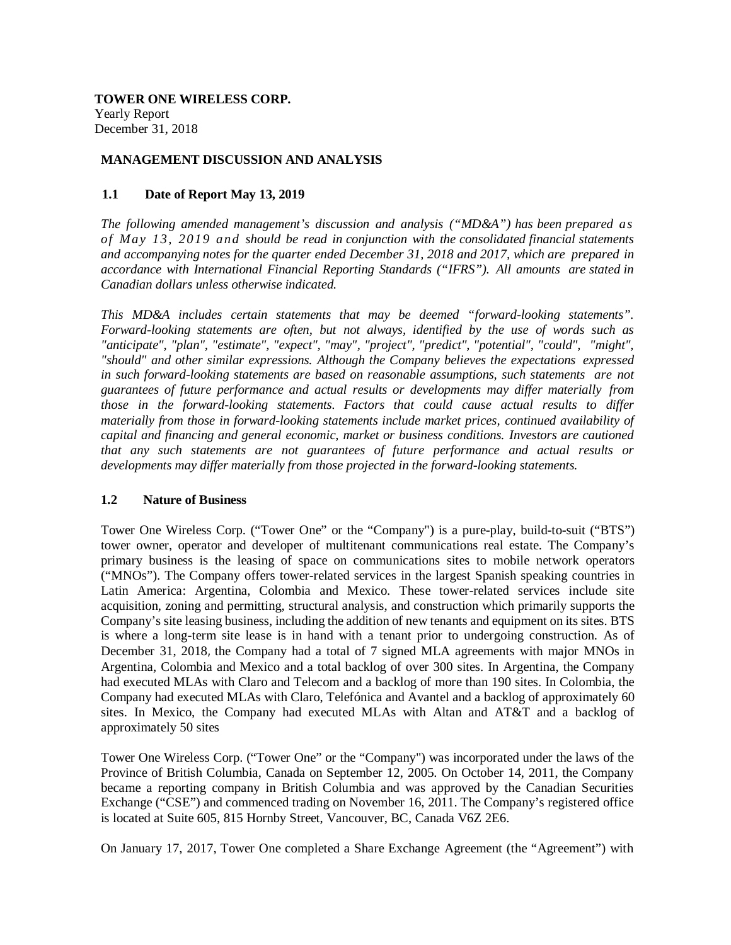**TOWER ONE WIRELESS CORP.** Yearly Report December 31, 2018

### **MANAGEMENT DISCUSSION AND ANALYSIS**

### **1.1 Date of Report May 13, 2019**

*The following amended management's discussion and analysis ("MD&A") has been prepared as of May 13, 2019 and should be read in conjunction with the consolidated financial statements and accompanying notes for the quarter ended December 31, 2018 and 2017, which are prepared in accordance with International Financial Reporting Standards ("IFRS"). All amounts are stated in Canadian dollars unless otherwise indicated.*

*This MD&A includes certain statements that may be deemed "forward-looking statements". Forward-looking statements are often, but not always, identified by the use of words such as "anticipate", "plan", "estimate", "expect", "may", "project", "predict", "potential", "could", "might", "should" and other similar expressions. Although the Company believes the expectations expressed in such forward-looking statements are based on reasonable assumptions, such statements are not guarantees of future performance and actual results or developments may differ materially from those in the forward-looking statements. Factors that could cause actual results to differ materially from those in forward-looking statements include market prices, continued availability of capital and financing and general economic, market or business conditions. Investors are cautioned that any such statements are not guarantees of future performance and actual results or developments may differ materially from those projected in the forward-looking statements.*

### **1.2 Nature of Business**

Tower One Wireless Corp. ("Tower One" or the "Company") is a pure-play, build-to-suit ("BTS") tower owner, operator and developer of multitenant communications real estate. The Company's primary business is the leasing of space on communications sites to mobile network operators ("MNOs"). The Company offers tower-related services in the largest Spanish speaking countries in Latin America: Argentina, Colombia and Mexico. These tower-related services include site acquisition, zoning and permitting, structural analysis, and construction which primarily supports the Company's site leasing business, including the addition of new tenants and equipment on its sites. BTS is where a long-term site lease is in hand with a tenant prior to undergoing construction. As of December 31, 2018, the Company had a total of 7 signed MLA agreements with major MNOs in Argentina, Colombia and Mexico and a total backlog of over 300 sites. In Argentina, the Company had executed MLAs with Claro and Telecom and a backlog of more than 190 sites. In Colombia, the Company had executed MLAs with Claro, Telefónica and Avantel and a backlog of approximately 60 sites. In Mexico, the Company had executed MLAs with Altan and AT&T and a backlog of approximately 50 sites

Tower One Wireless Corp. ("Tower One" or the "Company") was incorporated under the laws of the Province of British Columbia, Canada on September 12, 2005. On October 14, 2011, the Company became a reporting company in British Columbia and was approved by the Canadian Securities Exchange ("CSE") and commenced trading on November 16, 2011. The Company's registered office is located at Suite 605, 815 Hornby Street, Vancouver, BC, Canada V6Z 2E6.

On January 17, 2017, Tower One completed a Share Exchange Agreement (the "Agreement") with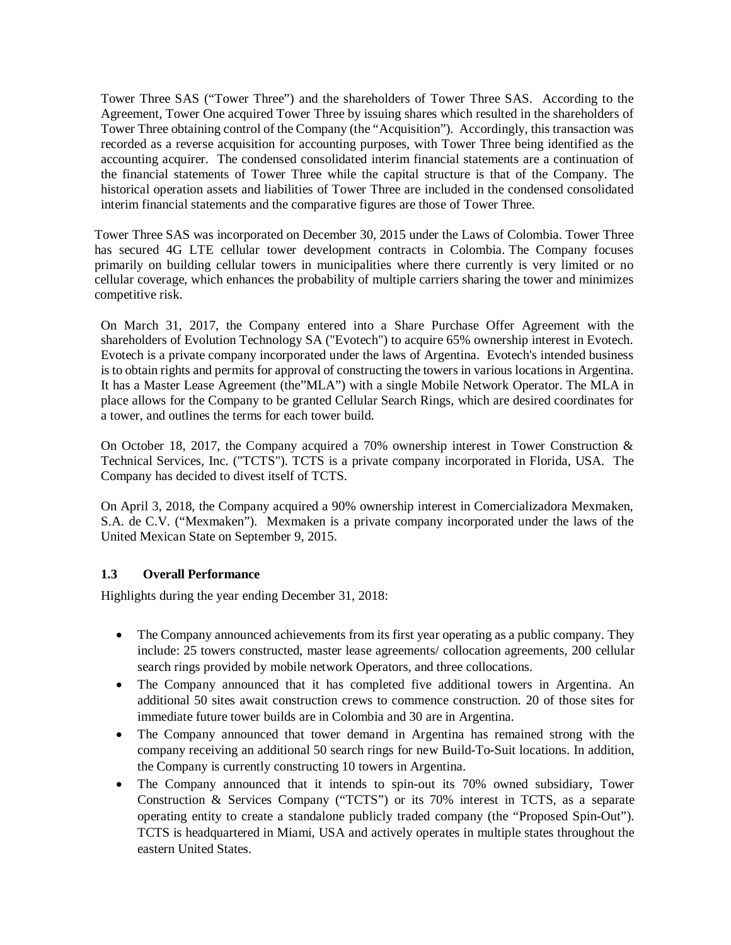Tower Three SAS ("Tower Three") and the shareholders of Tower Three SAS. According to the Agreement, Tower One acquired Tower Three by issuing shares which resulted in the shareholders of Tower Three obtaining control of the Company (the "Acquisition"). Accordingly, this transaction was recorded as a reverse acquisition for accounting purposes, with Tower Three being identified as the accounting acquirer. The condensed consolidated interim financial statements are a continuation of the financial statements of Tower Three while the capital structure is that of the Company. The historical operation assets and liabilities of Tower Three are included in the condensed consolidated interim financial statements and the comparative figures are those of Tower Three.

Tower Three SAS was incorporated on December 30, 2015 under the Laws of Colombia. Tower Three has secured 4G LTE cellular tower development contracts in Colombia. The Company focuses primarily on building cellular towers in municipalities where there currently is very limited or no cellular coverage, which enhances the probability of multiple carriers sharing the tower and minimizes competitive risk.

On March 31, 2017, the Company entered into a Share Purchase Offer Agreement with the shareholders of Evolution Technology SA ("Evotech") to acquire 65% ownership interest in Evotech. Evotech is a private company incorporated under the laws of Argentina. Evotech's intended business is to obtain rights and permits for approval of constructing the towers in various locations in Argentina. It has a Master Lease Agreement (the"MLA") with a single Mobile Network Operator. The MLA in place allows for the Company to be granted Cellular Search Rings, which are desired coordinates for a tower, and outlines the terms for each tower build.

On October 18, 2017, the Company acquired a 70% ownership interest in Tower Construction & Technical Services, Inc. ("TCTS"). TCTS is a private company incorporated in Florida, USA. The Company has decided to divest itself of TCTS.

On April 3, 2018, the Company acquired a 90% ownership interest in Comercializadora Mexmaken, S.A. de C.V. ("Mexmaken"). Mexmaken is a private company incorporated under the laws of the United Mexican State on September 9, 2015.

## **1.3 Overall Performance**

Highlights during the year ending December 31, 2018:

- The Company announced achievements from its first year operating as a public company. They include: 25 towers constructed, master lease agreements/ collocation agreements, 200 cellular search rings provided by mobile network Operators, and three collocations.
- The Company announced that it has completed five additional towers in Argentina. An additional 50 sites await construction crews to commence construction. 20 of those sites for immediate future tower builds are in Colombia and 30 are in Argentina.
- The Company announced that tower demand in Argentina has remained strong with the company receiving an additional 50 search rings for new Build-To-Suit locations. In addition, the Company is currently constructing 10 towers in Argentina.
- The Company announced that it intends to spin-out its 70% owned subsidiary, Tower Construction & Services Company ("TCTS") or its 70% interest in TCTS, as a separate operating entity to create a standalone publicly traded company (the "Proposed Spin-Out"). TCTS is headquartered in Miami, USA and actively operates in multiple states throughout the eastern United States.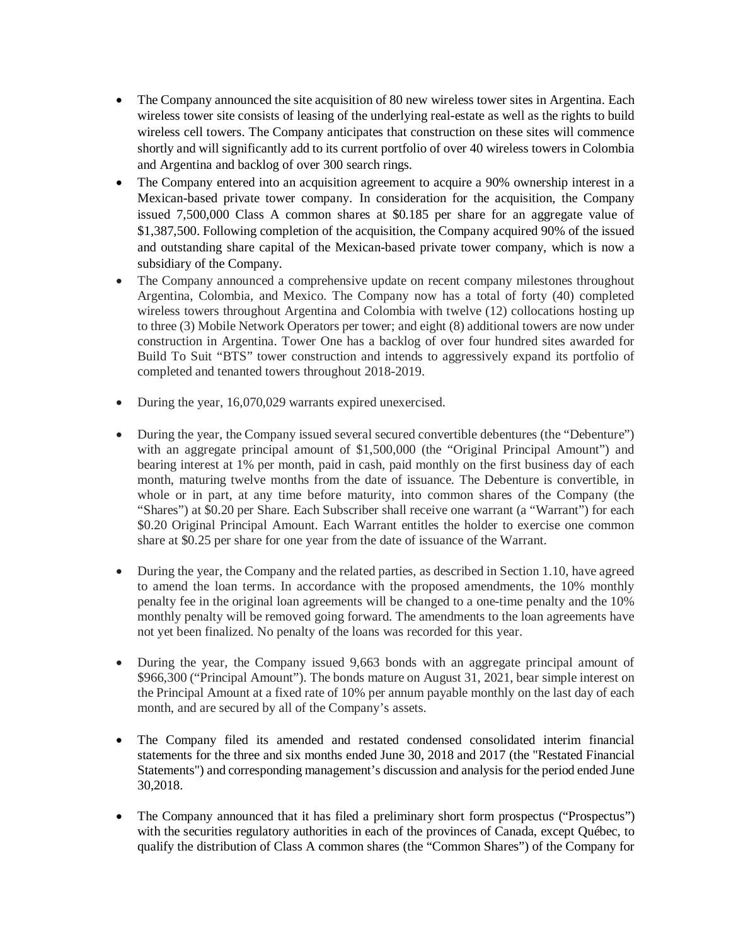- The Company announced the site acquisition of 80 new wireless tower sites in Argentina. Each wireless tower site consists of leasing of the underlying real-estate as well as the rights to build wireless cell towers. The Company anticipates that construction on these sites will commence shortly and will significantly add to its current portfolio of over 40 wireless towers in Colombia and Argentina and backlog of over 300 search rings.
- The Company entered into an acquisition agreement to acquire a 90% ownership interest in a Mexican-based private tower company. In consideration for the acquisition, the Company issued 7,500,000 Class A common shares at \$0.185 per share for an aggregate value of \$1,387,500. Following completion of the acquisition, the Company acquired 90% of the issued and outstanding share capital of the Mexican-based private tower company, which is now a subsidiary of the Company.
- The Company announced a comprehensive update on recent company milestones throughout Argentina, Colombia, and Mexico. The Company now has a total of forty (40) completed wireless towers throughout Argentina and Colombia with twelve (12) collocations hosting up to three (3) Mobile Network Operators per tower; and eight (8) additional towers are now under construction in Argentina. Tower One has a backlog of over four hundred sites awarded for Build To Suit "BTS" tower construction and intends to aggressively expand its portfolio of completed and tenanted towers throughout 2018-2019.
- During the year, 16,070,029 warrants expired unexercised.
- During the year, the Company issued several secured convertible debentures (the "Debenture") with an aggregate principal amount of \$1,500,000 (the "Original Principal Amount") and bearing interest at 1% per month, paid in cash, paid monthly on the first business day of each month, maturing twelve months from the date of issuance. The Debenture is convertible, in whole or in part, at any time before maturity, into common shares of the Company (the "Shares") at \$0.20 per Share. Each Subscriber shall receive one warrant (a "Warrant") for each \$0.20 Original Principal Amount. Each Warrant entitles the holder to exercise one common share at \$0.25 per share for one year from the date of issuance of the Warrant.
- During the year, the Company and the related parties, as described in Section 1.10, have agreed to amend the loan terms. In accordance with the proposed amendments, the 10% monthly penalty fee in the original loan agreements will be changed to a one-time penalty and the 10% monthly penalty will be removed going forward. The amendments to the loan agreements have not yet been finalized. No penalty of the loans was recorded for this year.
- During the year, the Company issued 9,663 bonds with an aggregate principal amount of \$966,300 ("Principal Amount"). The bonds mature on August 31, 2021, bear simple interest on the Principal Amount at a fixed rate of 10% per annum payable monthly on the last day of each month, and are secured by all of the Company's assets.
- The Company filed its amended and restated condensed consolidated interim financial statements for the three and six months ended June 30, 2018 and 2017 (the "Restated Financial Statements") and corresponding management's discussion and analysis for the period ended June 30,2018.
- The Company announced that it has filed a preliminary short form prospectus ("Prospectus") with the securities regulatory authorities in each of the provinces of Canada, except Québec, to qualify the distribution of Class A common shares (the "Common Shares") of the Company for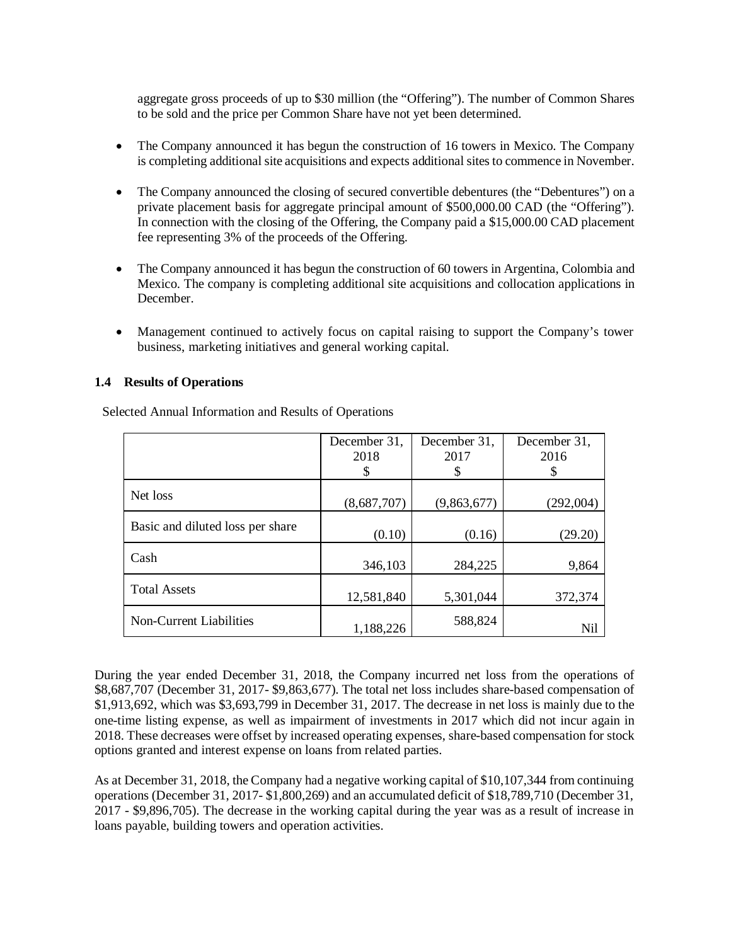aggregate gross proceeds of up to \$30 million (the "Offering"). The number of Common Shares to be sold and the price per Common Share have not yet been determined.

- The Company announced it has begun the construction of 16 towers in Mexico. The Company is completing additional site acquisitions and expects additional sites to commence in November.
- The Company announced the closing of secured convertible debentures (the "Debentures") on a private placement basis for aggregate principal amount of \$500,000.00 CAD (the "Offering"). In connection with the closing of the Offering, the Company paid a \$15,000.00 CAD placement fee representing 3% of the proceeds of the Offering.
- The Company announced it has begun the construction of 60 towers in Argentina, Colombia and Mexico. The company is completing additional site acquisitions and collocation applications in December.
- Management continued to actively focus on capital raising to support the Company's tower business, marketing initiatives and general working capital.

## **1.4 Results of Operations**

|                                  | December 31,<br>2018 | December 31,<br>2017 | December 31,<br>2016 |
|----------------------------------|----------------------|----------------------|----------------------|
|                                  | S                    | \$                   | \$                   |
| Net loss                         | (8,687,707)          | (9,863,677)          | (292,004)            |
| Basic and diluted loss per share | (0.10)               | (0.16)               | (29.20)              |
| Cash                             | 346,103              | 284,225              | 9,864                |
| <b>Total Assets</b>              | 12,581,840           | 5,301,044            | 372,374              |
| <b>Non-Current Liabilities</b>   | 1,188,226            | 588,824              | Nil                  |

Selected Annual Information and Results of Operations

During the year ended December 31, 2018, the Company incurred net loss from the operations of \$8,687,707 (December 31, 2017- \$9,863,677). The total net loss includes share-based compensation of \$1,913,692, which was \$3,693,799 in December 31, 2017. The decrease in net loss is mainly due to the one-time listing expense, as well as impairment of investments in 2017 which did not incur again in 2018. These decreases were offset by increased operating expenses, share-based compensation for stock options granted and interest expense on loans from related parties.

As at December 31, 2018, the Company had a negative working capital of \$10,107,344 from continuing operations (December 31, 2017- \$1,800,269) and an accumulated deficit of \$18,789,710 (December 31, 2017 - \$9,896,705). The decrease in the working capital during the year was as a result of increase in loans payable, building towers and operation activities.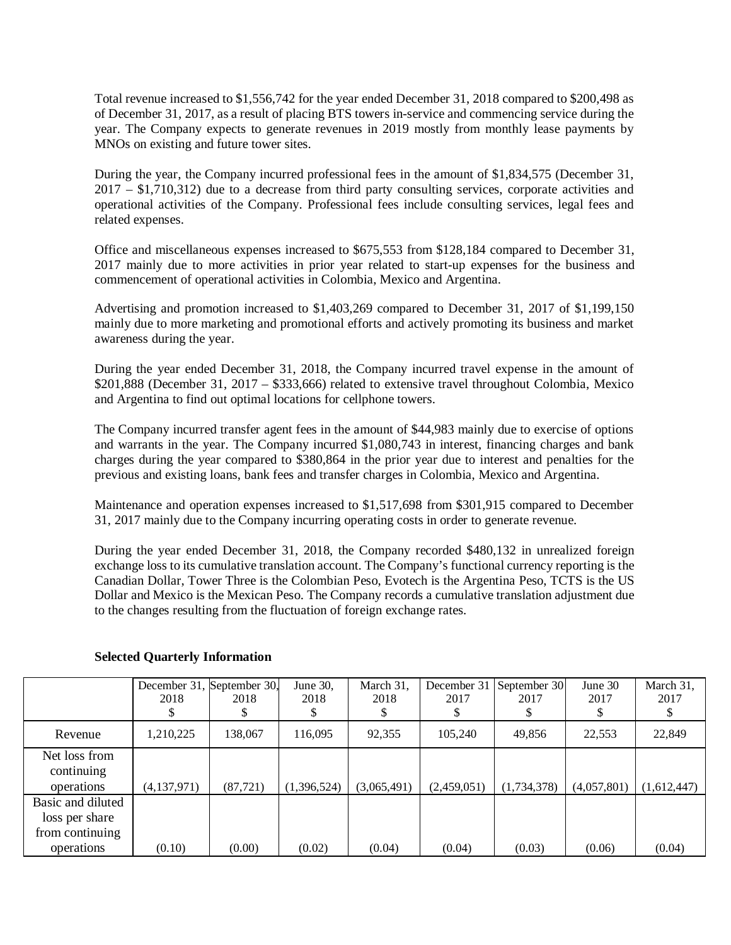Total revenue increased to \$1,556,742 for the year ended December 31, 2018 compared to \$200,498 as of December 31, 2017, as a result of placing BTS towers in-service and commencing service during the year. The Company expects to generate revenues in 2019 mostly from monthly lease payments by MNOs on existing and future tower sites.

During the year, the Company incurred professional fees in the amount of \$1,834,575 (December 31, 2017 – \$1,710,312) due to a decrease from third party consulting services, corporate activities and operational activities of the Company. Professional fees include consulting services, legal fees and related expenses.

Office and miscellaneous expenses increased to \$675,553 from \$128,184 compared to December 31, 2017 mainly due to more activities in prior year related to start-up expenses for the business and commencement of operational activities in Colombia, Mexico and Argentina.

Advertising and promotion increased to \$1,403,269 compared to December 31, 2017 of \$1,199,150 mainly due to more marketing and promotional efforts and actively promoting its business and market awareness during the year.

During the year ended December 31, 2018, the Company incurred travel expense in the amount of \$201,888 (December 31, 2017 – \$333,666) related to extensive travel throughout Colombia, Mexico and Argentina to find out optimal locations for cellphone towers.

The Company incurred transfer agent fees in the amount of \$44,983 mainly due to exercise of options and warrants in the year. The Company incurred \$1,080,743 in interest, financing charges and bank charges during the year compared to \$380,864 in the prior year due to interest and penalties for the previous and existing loans, bank fees and transfer charges in Colombia, Mexico and Argentina.

Maintenance and operation expenses increased to \$1,517,698 from \$301,915 compared to December 31, 2017 mainly due to the Company incurring operating costs in order to generate revenue.

During the year ended December 31, 2018, the Company recorded \$480,132 in unrealized foreign exchange loss to its cumulative translation account. The Company's functional currency reporting is the Canadian Dollar, Tower Three is the Colombian Peso, Evotech is the Argentina Peso, TCTS is the US Dollar and Mexico is the Mexican Peso. The Company records a cumulative translation adjustment due to the changes resulting from the fluctuation of foreign exchange rates.

|                                                                      | December 31, September 30,<br>2018 | 2018      | June 30,<br>2018 | March 31,<br>2018 | 2017        | December 31   September 30 <br>2017 | June 30<br>2017 | March 31,<br>2017 |
|----------------------------------------------------------------------|------------------------------------|-----------|------------------|-------------------|-------------|-------------------------------------|-----------------|-------------------|
| Revenue                                                              | ,210,225                           | 138,067   | 116,095          | 92,355            | 105,240     | 49,856                              | 22,553          | 22,849            |
| Net loss from<br>continuing<br>operations                            | (4, 137, 971)                      | (87, 721) | (1,396,524)      | (3,065,491)       | (2,459,051) | (1,734,378)                         | (4,057,801)     | (1,612,447)       |
| Basic and diluted<br>loss per share<br>from continuing<br>operations | (0.10)                             | (0.00)    | (0.02)           | (0.04)            | (0.04)      | (0.03)                              | (0.06)          | (0.04)            |

## **Selected Quarterly Information**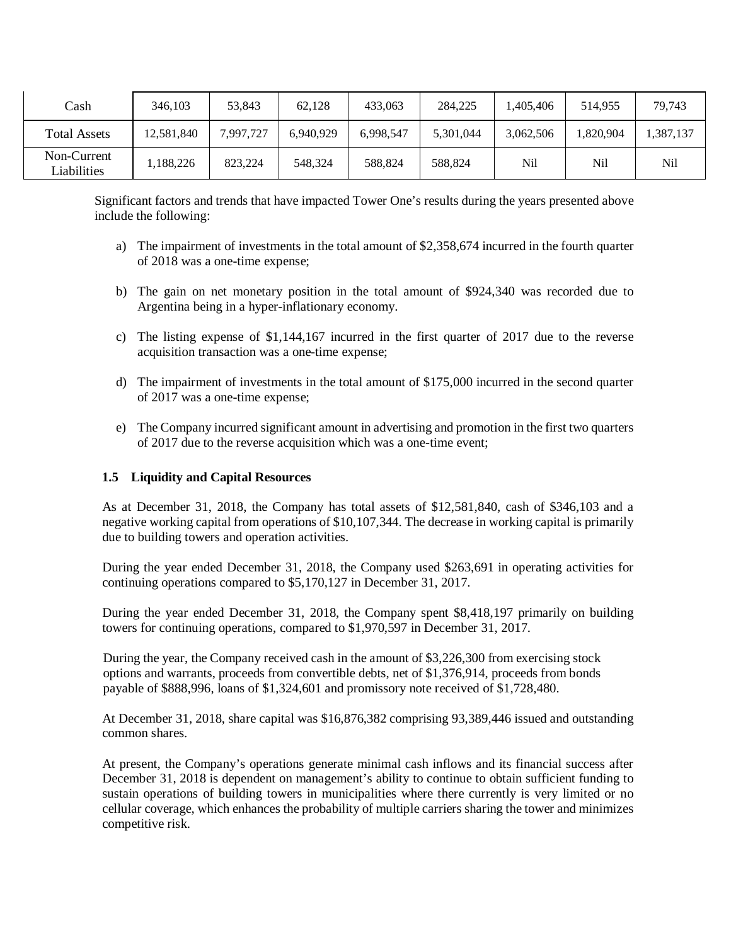| Cash                       | 346.103    | 53,843    | 62.128    | 433.063   | 284,225   | ,405,406  | 514.955  | 79,743    |
|----------------------------|------------|-----------|-----------|-----------|-----------|-----------|----------|-----------|
| <b>Total Assets</b>        | 12,581,840 | 7,997,727 | 6.940.929 | 6,998,547 | 5,301,044 | 3,062,506 | ,820,904 | 1,387,137 |
| Non-Current<br>Liabilities | .188.226   | 823.224   | 548,324   | 588,824   | 588,824   | Nil       | Nil      | Nil       |

Significant factors and trends that have impacted Tower One's results during the years presented above include the following:

- a) The impairment of investments in the total amount of \$2,358,674 incurred in the fourth quarter of 2018 was a one-time expense;
- b) The gain on net monetary position in the total amount of \$924,340 was recorded due to Argentina being in a hyper-inflationary economy.
- c) The listing expense of \$1,144,167 incurred in the first quarter of 2017 due to the reverse acquisition transaction was a one-time expense;
- d) The impairment of investments in the total amount of \$175,000 incurred in the second quarter of 2017 was a one-time expense;
- e) The Company incurred significant amount in advertising and promotion in the first two quarters of 2017 due to the reverse acquisition which was a one-time event;

#### **1.5 Liquidity and Capital Resources**

As at December 31, 2018, the Company has total assets of \$12,581,840, cash of \$346,103 and a negative working capital from operations of \$10,107,344. The decrease in working capital is primarily due to building towers and operation activities.

During the year ended December 31, 2018, the Company used \$263,691 in operating activities for continuing operations compared to \$5,170,127 in December 31, 2017.

During the year ended December 31, 2018, the Company spent \$8,418,197 primarily on building towers for continuing operations, compared to \$1,970,597 in December 31, 2017.

During the year, the Company received cash in the amount of \$3,226,300 from exercising stock options and warrants, proceeds from convertible debts, net of \$1,376,914, proceeds from bonds payable of \$888,996, loans of \$1,324,601 and promissory note received of \$1,728,480.

At December 31, 2018, share capital was \$16,876,382 comprising 93,389,446 issued and outstanding common shares.

At present, the Company's operations generate minimal cash inflows and its financial success after December 31, 2018 is dependent on management's ability to continue to obtain sufficient funding to sustain operations of building towers in municipalities where there currently is very limited or no cellular coverage, which enhances the probability of multiple carriers sharing the tower and minimizes competitive risk.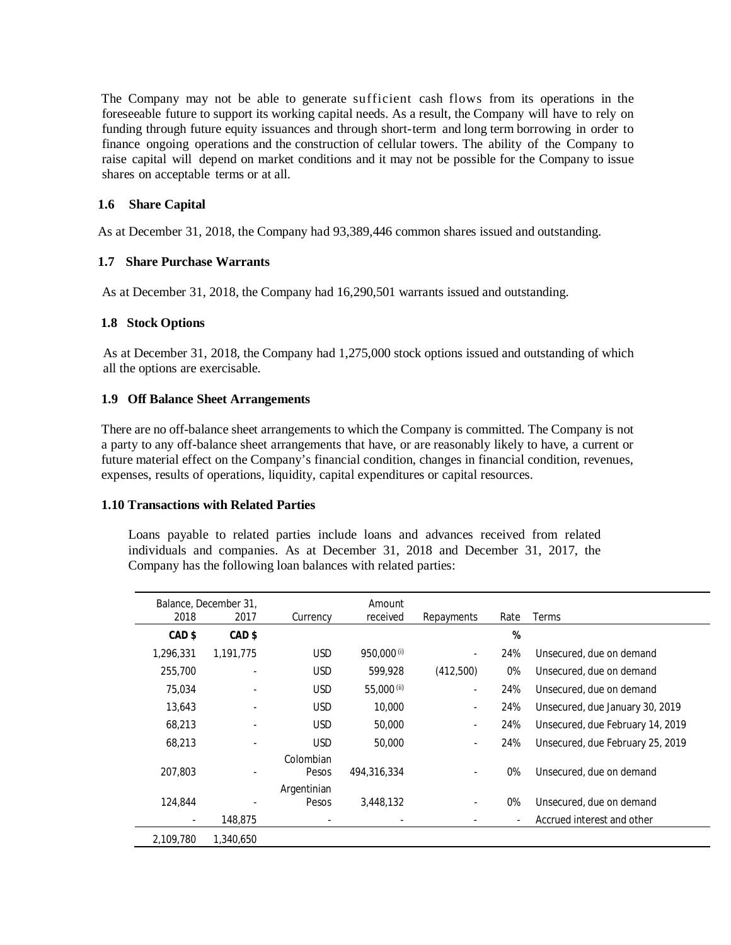The Company may not be able to generate sufficient cash flows from its operations in the foreseeable future to support its working capital needs. As a result, the Company will have to rely on funding through future equity issuances and through short-term and long term borrowing in order to finance ongoing operations and the construction of cellular towers. The ability of the Company to raise capital will depend on market conditions and it may not be possible for the Company to issue shares on acceptable terms or at all.

### **1.6 Share Capital**

As at December 31, 2018, the Company had 93,389,446 common shares issued and outstanding.

## **1.7 Share Purchase Warrants**

As at December 31, 2018, the Company had 16,290,501 warrants issued and outstanding.

#### **1.8 Stock Options**

As at December 31, 2018, the Company had 1,275,000 stock options issued and outstanding of which all the options are exercisable.

#### **1.9 Off Balance Sheet Arrangements**

There are no off-balance sheet arrangements to which the Company is committed. The Company is not a party to any off-balance sheet arrangements that have, or are reasonably likely to have, a current or future material effect on the Company's financial condition, changes in financial condition, revenues, expenses, results of operations, liquidity, capital expenditures or capital resources.

#### **1.10 Transactions with Related Parties**

Loans payable to related parties include loans and advances received from related individuals and companies. As at December 31, 2018 and December 31, 2017, the Company has the following loan balances with related parties:

| 2018              | Balance, December 31,<br>2017 | Currency             | Amount<br>received     | Repayments               | Rate | Terms                            |
|-------------------|-------------------------------|----------------------|------------------------|--------------------------|------|----------------------------------|
| CAD <sub>\$</sub> | CAD <sub>\$</sub>             |                      |                        |                          | %    |                                  |
| 1,296,331         | 1.191.775                     | <b>USD</b>           | 950,000 <sup>(i)</sup> | ٠                        | 24%  | Unsecured, due on demand         |
| 255,700           |                               | <b>USD</b>           | 599,928                | (412,500)                | 0%   | Unsecured, due on demand         |
| 75.034            |                               | <b>USD</b>           | 55,000 (ii)            | $\sim$                   | 24%  | Unsecured, due on demand         |
| 13,643            |                               | <b>USD</b>           | 10,000                 | $\sim$                   | 24%  | Unsecured, due January 30, 2019  |
| 68,213            |                               | <b>USD</b>           | 50,000                 | ٠                        | 24%  | Unsecured, due February 14, 2019 |
| 68,213            |                               | <b>USD</b>           | 50,000                 | $\blacksquare$           | 24%  | Unsecured, due February 25, 2019 |
| 207,803           |                               | Colombian<br>Pesos   | 494,316,334            | $\sim$                   | 0%   | Unsecured, due on demand         |
| 124,844           |                               | Argentinian<br>Pesos | 3,448,132              | $\overline{\phantom{a}}$ | 0%   | Unsecured, due on demand         |
| $\sim$            | 148.875                       |                      |                        |                          |      | Accrued interest and other       |
| 2.109.780         | 1,340,650                     |                      |                        |                          |      |                                  |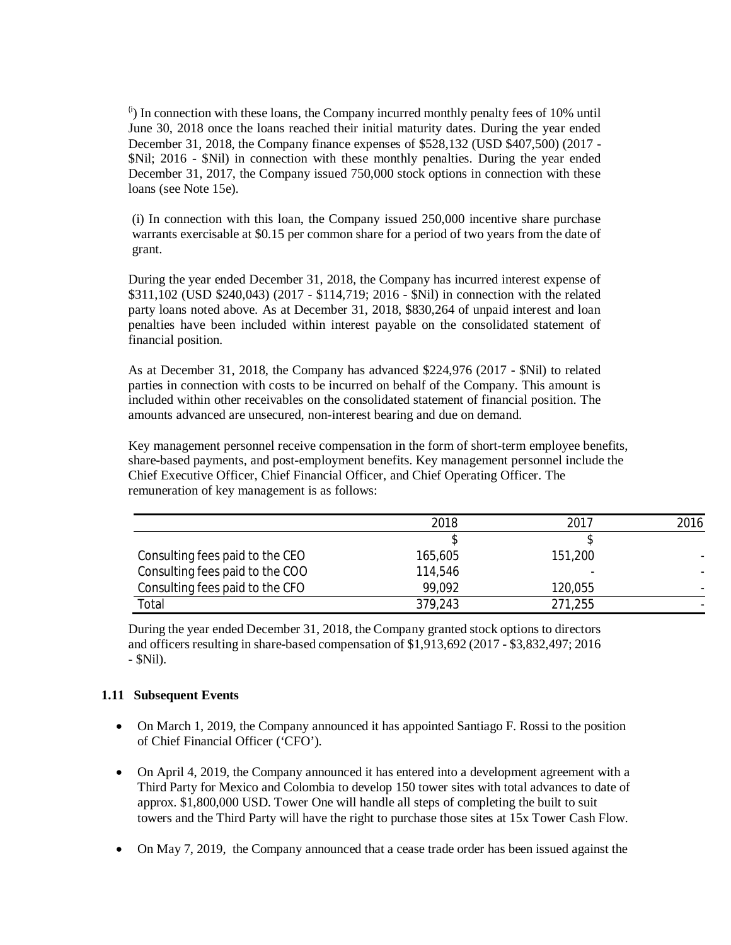$\binom{1}{1}$  In connection with these loans, the Company incurred monthly penalty fees of 10% until June 30, 2018 once the loans reached their initial maturity dates. During the year ended December 31, 2018, the Company finance expenses of \$528,132 (USD \$407,500) (2017 - \$Nil; 2016 - \$Nil) in connection with these monthly penalties. During the year ended December 31, 2017, the Company issued 750,000 stock options in connection with these loans (see Note 15e).

(i) In connection with this loan, the Company issued 250,000 incentive share purchase warrants exercisable at \$0.15 per common share for a period of two years from the date of grant.

During the year ended December 31, 2018, the Company has incurred interest expense of \$311,102 (USD \$240,043) (2017 - \$114,719; 2016 - \$Nil) in connection with the related party loans noted above. As at December 31, 2018, \$830,264 of unpaid interest and loan penalties have been included within interest payable on the consolidated statement of financial position.

As at December 31, 2018, the Company has advanced \$224,976 (2017 - \$Nil) to related parties in connection with costs to be incurred on behalf of the Company. This amount is included within other receivables on the consolidated statement of financial position. The amounts advanced are unsecured, non-interest bearing and due on demand.

Key management personnel receive compensation in the form of short-term employee benefits, share-based payments, and post-employment benefits. Key management personnel include the Chief Executive Officer, Chief Financial Officer, and Chief Operating Officer. The remuneration of key management is as follows:

|                                 | 2018    | 2017    | 2016 |
|---------------------------------|---------|---------|------|
|                                 |         |         |      |
| Consulting fees paid to the CEO | 165,605 | 151,200 |      |
| Consulting fees paid to the COO | 114,546 |         |      |
| Consulting fees paid to the CFO | 99.092  | 120,055 |      |
| Total                           | 379,243 | 271,255 |      |

During the year ended December 31, 2018, the Company granted stock options to directors and officers resulting in share-based compensation of \$1,913,692 (2017 - \$3,832,497; 2016 - \$Nil).

## **1.11 Subsequent Events**

- On March 1, 2019, the Company announced it has appointed Santiago F. Rossi to the position of Chief Financial Officer ('CFO').
- On April 4, 2019, the Company announced it has entered into a development agreement with a Third Party for Mexico and Colombia to develop 150 tower sites with total advances to date of approx. \$1,800,000 USD. Tower One will handle all steps of completing the built to suit towers and the Third Party will have the right to purchase those sites at 15x Tower Cash Flow.
- On May 7, 2019, the Company announced that a cease trade order has been issued against the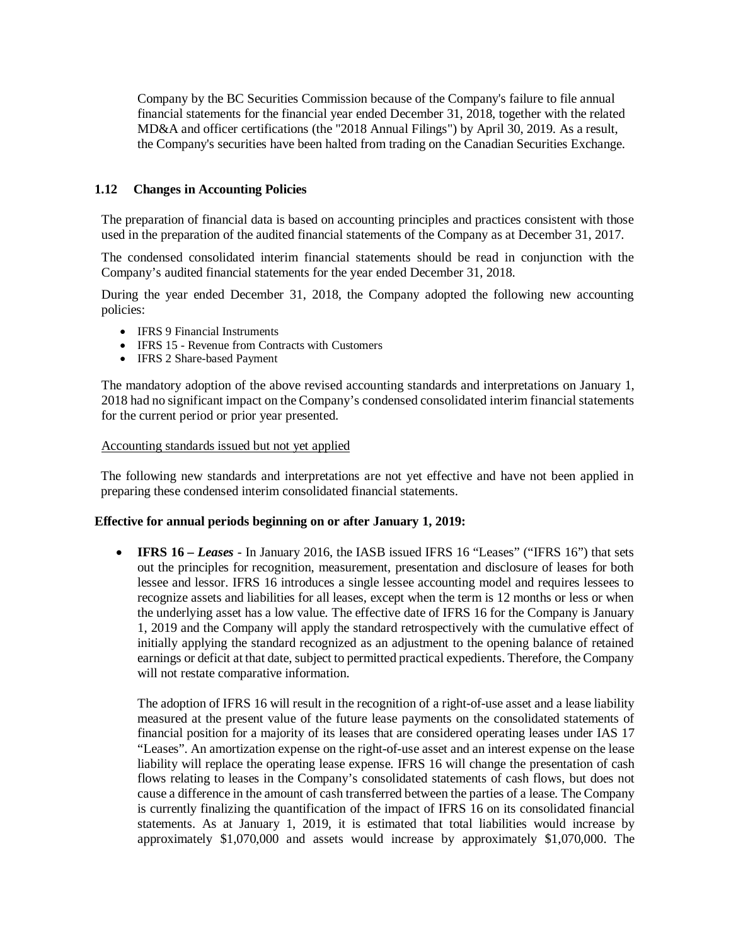Company by the BC Securities Commission because of the Company's failure to file annual financial statements for the financial year ended December 31, 2018, together with the related MD&A and officer certifications (the "2018 Annual Filings") by April 30, 2019. As a result, the Company's securities have been halted from trading on the Canadian Securities Exchange.

## **1.12 Changes in Accounting Policies**

The preparation of financial data is based on accounting principles and practices consistent with those used in the preparation of the audited financial statements of the Company as at December 31, 2017.

The condensed consolidated interim financial statements should be read in conjunction with the Company's audited financial statements for the year ended December 31, 2018.

During the year ended December 31, 2018, the Company adopted the following new accounting policies:

- IFRS 9 Financial Instruments
- IFRS 15 Revenue from Contracts with Customers
- IFRS 2 Share-based Payment

The mandatory adoption of the above revised accounting standards and interpretations on January 1, 2018 had no significant impact on the Company's condensed consolidated interim financial statements for the current period or prior year presented.

#### Accounting standards issued but not yet applied

The following new standards and interpretations are not yet effective and have not been applied in preparing these condensed interim consolidated financial statements.

#### **Effective for annual periods beginning on or after January 1, 2019:**

 **IFRS 16** *– Leases -* In January 2016, the IASB issued IFRS 16 "Leases" ("IFRS 16") that sets out the principles for recognition, measurement, presentation and disclosure of leases for both lessee and lessor. IFRS 16 introduces a single lessee accounting model and requires lessees to recognize assets and liabilities for all leases, except when the term is 12 months or less or when the underlying asset has a low value. The effective date of IFRS 16 for the Company is January 1, 2019 and the Company will apply the standard retrospectively with the cumulative effect of initially applying the standard recognized as an adjustment to the opening balance of retained earnings or deficit at that date, subject to permitted practical expedients. Therefore, the Company will not restate comparative information.

The adoption of IFRS 16 will result in the recognition of a right-of-use asset and a lease liability measured at the present value of the future lease payments on the consolidated statements of financial position for a majority of its leases that are considered operating leases under IAS 17 "Leases". An amortization expense on the right-of-use asset and an interest expense on the lease liability will replace the operating lease expense. IFRS 16 will change the presentation of cash flows relating to leases in the Company's consolidated statements of cash flows, but does not cause a difference in the amount of cash transferred between the parties of a lease. The Company is currently finalizing the quantification of the impact of IFRS 16 on its consolidated financial statements. As at January 1, 2019, it is estimated that total liabilities would increase by approximately \$1,070,000 and assets would increase by approximately \$1,070,000. The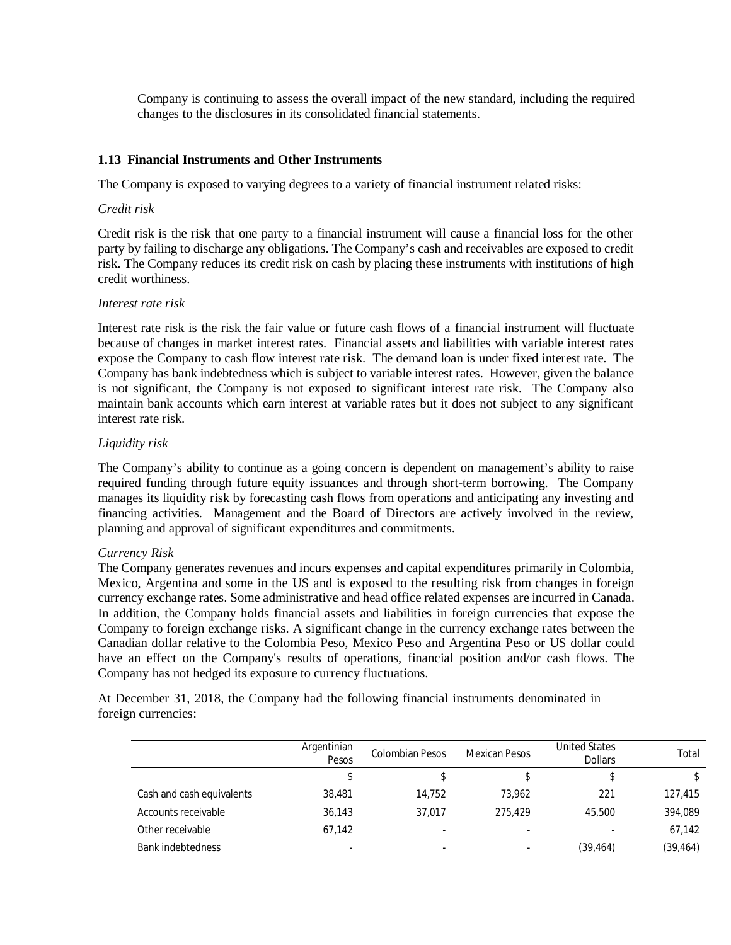Company is continuing to assess the overall impact of the new standard, including the required changes to the disclosures in its consolidated financial statements.

#### **1.13 Financial Instruments and Other Instruments**

The Company is exposed to varying degrees to a variety of financial instrument related risks:

#### *Credit risk*

Credit risk is the risk that one party to a financial instrument will cause a financial loss for the other party by failing to discharge any obligations. The Company's cash and receivables are exposed to credit risk. The Company reduces its credit risk on cash by placing these instruments with institutions of high credit worthiness.

#### *Interest rate risk*

Interest rate risk is the risk the fair value or future cash flows of a financial instrument will fluctuate because of changes in market interest rates. Financial assets and liabilities with variable interest rates expose the Company to cash flow interest rate risk. The demand loan is under fixed interest rate. The Company has bank indebtedness which is subject to variable interest rates. However, given the balance is not significant, the Company is not exposed to significant interest rate risk. The Company also maintain bank accounts which earn interest at variable rates but it does not subject to any significant interest rate risk.

#### *Liquidity risk*

The Company's ability to continue as a going concern is dependent on management's ability to raise required funding through future equity issuances and through short-term borrowing. The Company manages its liquidity risk by forecasting cash flows from operations and anticipating any investing and financing activities. Management and the Board of Directors are actively involved in the review, planning and approval of significant expenditures and commitments.

## *Currency Risk*

The Company generates revenues and incurs expenses and capital expenditures primarily in Colombia, Mexico, Argentina and some in the US and is exposed to the resulting risk from changes in foreign currency exchange rates. Some administrative and head office related expenses are incurred in Canada. In addition, the Company holds financial assets and liabilities in foreign currencies that expose the Company to foreign exchange risks. A significant change in the currency exchange rates between the Canadian dollar relative to the Colombia Peso, Mexico Peso and Argentina Peso or US dollar could have an effect on the Company's results of operations, financial position and/or cash flows. The Company has not hedged its exposure to currency fluctuations.

At December 31, 2018, the Company had the following financial instruments denominated in foreign currencies:

|                           | Argentinian<br>Pesos | <b>Colombian Pesos</b> | <b>Mexican Pesos</b> | <b>United States</b><br><b>Dollars</b> | Total     |
|---------------------------|----------------------|------------------------|----------------------|----------------------------------------|-----------|
|                           | \$                   |                        | \$                   |                                        |           |
| Cash and cash equivalents | 38,481               | 14.752                 | 73.962               | 221                                    | 127,415   |
| Accounts receivable       | 36,143               | 37.017                 | 275,429              | 45.500                                 | 394,089   |
| Other receivable          | 67,142               | -                      |                      |                                        | 67,142    |
| <b>Bank indebtedness</b>  | -                    | -                      |                      | (39,464)                               | (39, 464) |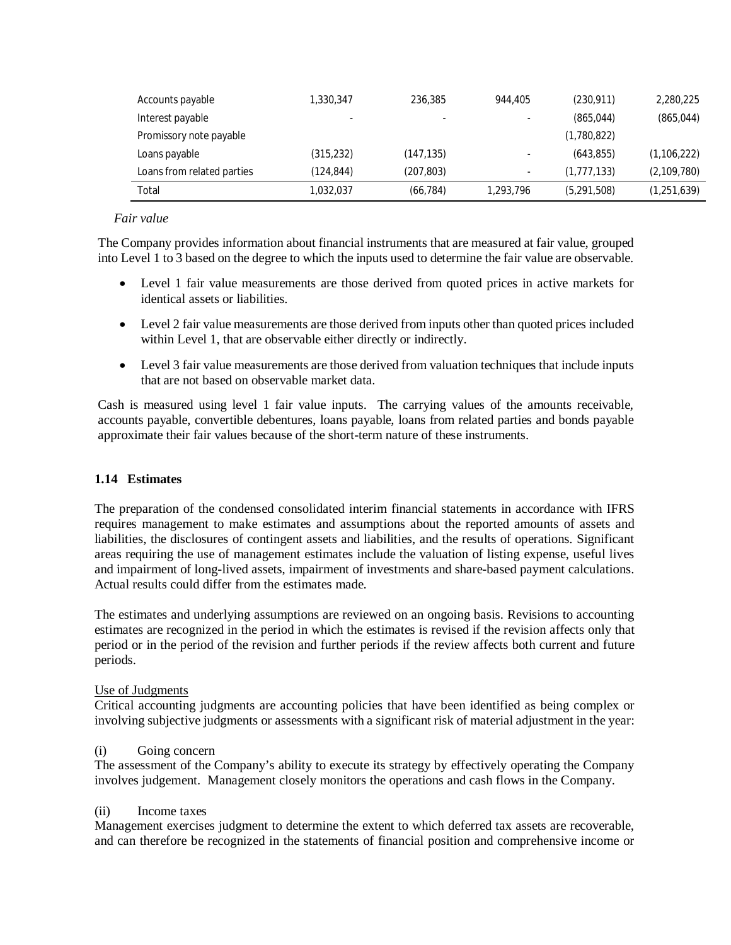| Accounts payable           | 1,330,347 | 236,385    | 944,405   | (230, 911)  | 2,280,225     |
|----------------------------|-----------|------------|-----------|-------------|---------------|
| Interest payable           | -         | -          |           | (865, 044)  | (865, 044)    |
| Promissory note payable    |           |            |           | (1,780,822) |               |
| Loans payable              | (315,232) | (147,135)  |           | (643, 855)  | (1, 106, 222) |
| Loans from related parties | (124,844) | (207, 803) | $\sim$    | (1,777,133) | (2,109,780)   |
| Total                      | 1.032.037 | (66, 784)  | 1,293,796 | (5,291,508) | (1,251,639)   |

## *Fair value*

The Company provides information about financial instruments that are measured at fair value, grouped into Level 1 to 3 based on the degree to which the inputs used to determine the fair value are observable.

- Level 1 fair value measurements are those derived from quoted prices in active markets for identical assets or liabilities.
- Level 2 fair value measurements are those derived from inputs other than quoted prices included within Level 1, that are observable either directly or indirectly.
- Level 3 fair value measurements are those derived from valuation techniques that include inputs that are not based on observable market data.

Cash is measured using level 1 fair value inputs. The carrying values of the amounts receivable, accounts payable, convertible debentures, loans payable, loans from related parties and bonds payable approximate their fair values because of the short-term nature of these instruments.

## **1.14 Estimates**

The preparation of the condensed consolidated interim financial statements in accordance with IFRS requires management to make estimates and assumptions about the reported amounts of assets and liabilities, the disclosures of contingent assets and liabilities, and the results of operations. Significant areas requiring the use of management estimates include the valuation of listing expense, useful lives and impairment of long-lived assets, impairment of investments and share-based payment calculations. Actual results could differ from the estimates made.

The estimates and underlying assumptions are reviewed on an ongoing basis. Revisions to accounting estimates are recognized in the period in which the estimates is revised if the revision affects only that period or in the period of the revision and further periods if the review affects both current and future periods.

## Use of Judgments

Critical accounting judgments are accounting policies that have been identified as being complex or involving subjective judgments or assessments with a significant risk of material adjustment in the year:

## (i) Going concern

The assessment of the Company's ability to execute its strategy by effectively operating the Company involves judgement. Management closely monitors the operations and cash flows in the Company.

## (ii) Income taxes

Management exercises judgment to determine the extent to which deferred tax assets are recoverable, and can therefore be recognized in the statements of financial position and comprehensive income or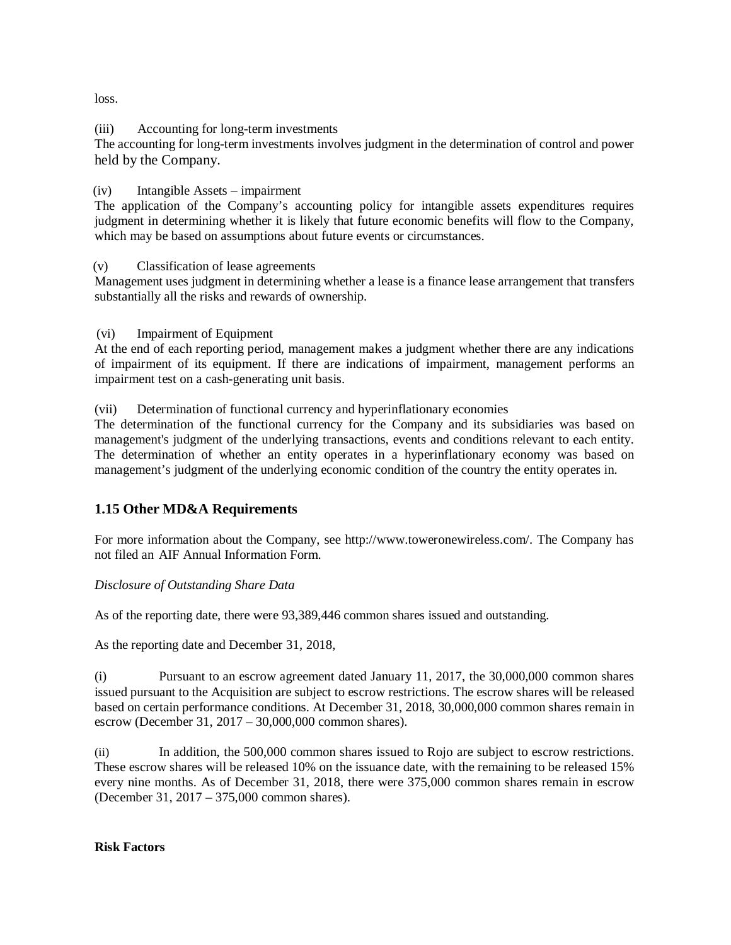loss.

## (iii) Accounting for long-term investments

The accounting for long-term investments involves judgment in the determination of control and power held by the Company.

## (iv) Intangible Assets – impairment

The application of the Company's accounting policy for intangible assets expenditures requires judgment in determining whether it is likely that future economic benefits will flow to the Company, which may be based on assumptions about future events or circumstances.

## (v) Classification of lease agreements

Management uses judgment in determining whether a lease is a finance lease arrangement that transfers substantially all the risks and rewards of ownership.

(vi) Impairment of Equipment

At the end of each reporting period, management makes a judgment whether there are any indications of impairment of its equipment. If there are indications of impairment, management performs an impairment test on a cash-generating unit basis.

## (vii) Determination of functional currency and hyperinflationary economies

The determination of the functional currency for the Company and its subsidiaries was based on management's judgment of the underlying transactions, events and conditions relevant to each entity. The determination of whether an entity operates in a hyperinflationary economy was based on management's judgment of the underlying economic condition of the country the entity operates in.

# **1.15 Other MD&A Requirements**

For more information about the Company, see <http://www.toweronewireless.com/.> The Company has not filed an AIF Annual Information Form.

## *Disclosure of Outstanding Share Data*

As of the reporting date, there were 93,389,446 common shares issued and outstanding.

As the reporting date and December 31, 2018,

Pursuant to an escrow agreement dated January 11, 2017, the 30,000,000 common shares issued pursuant to the Acquisition are subject to escrow restrictions. The escrow shares will be released based on certain performance conditions. At December 31, 2018, 30,000,000 common shares remain in escrow (December 31, 2017 – 30,000,000 common shares).

(ii) In addition, the 500,000 common shares issued to Rojo are subject to escrow restrictions. These escrow shares will be released 10% on the issuance date, with the remaining to be released 15% every nine months. As of December 31, 2018, there were 375,000 common shares remain in escrow (December 31, 2017 – 375,000 common shares).

## **Risk Factors**